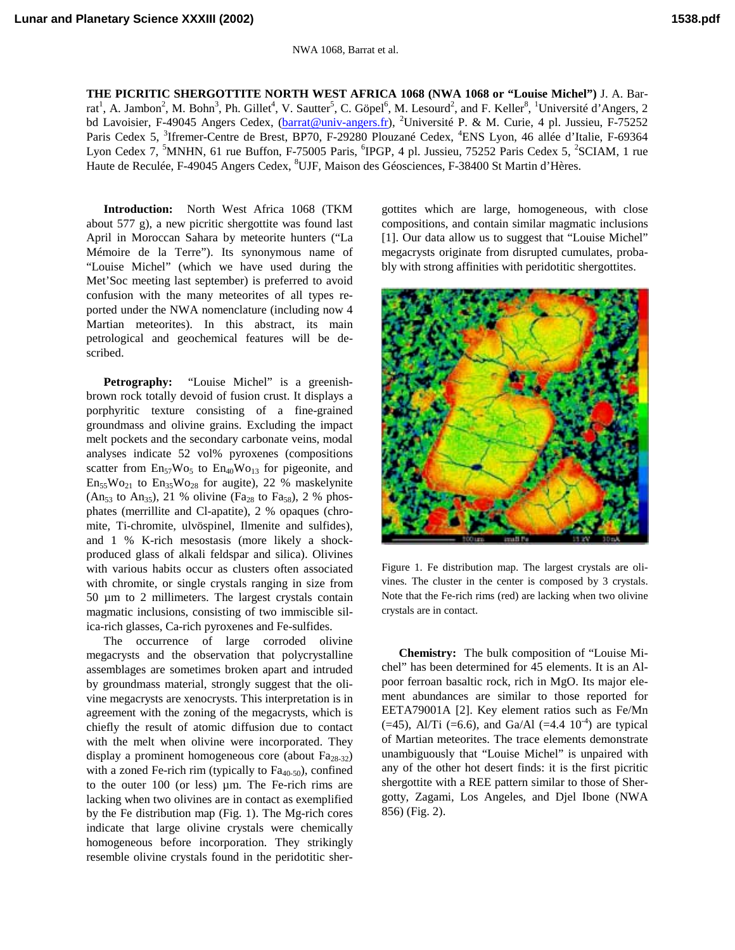**THE PICRITIC SHERGOTTITE NORTH WEST AFRICA 1068 (NWA 1068 or "Louise Michel")** J. A. Barrat<sup>1</sup>, A. Jambon<sup>2</sup>, M. Bohn<sup>3</sup>, Ph. Gillet<sup>4</sup>, V. Sautter<sup>5</sup>, C. Göpel<sup>6</sup>, M. Lesourd<sup>2</sup>, and F. Keller<sup>8</sup>, <sup>1</sup>Université d'Angers, 2 bd Lavoisier, F-49045 Angers Cedex, (*barrat@univ-angers.fr*), <sup>2</sup>Université P. & M. Curie, 4 pl. Jussieu, F-75252 Paris Cedex 5, <sup>3</sup>Ifremer-Centre de Brest, BP70, F-29280 Plouzané Cedex, <sup>4</sup>ENS Lyon, 46 allée d'Italie, F-69364 Lyon Cedex 7, <sup>5</sup>MNHN, 61 rue Buffon, F-75005 Paris, <sup>6</sup>IPGP, 4 pl. Jussieu, 75252 Paris Cedex 5, <sup>2</sup>SCIAM, 1 rue Haute de Reculée, F-49045 Angers Cedex, <sup>8</sup>UJF, Maison des Géosciences, F-38400 St Martin d'Hères.

**Introduction:** North West Africa 1068 (TKM about 577 g), a new picritic shergottite was found last April in Moroccan Sahara by meteorite hunters ("La Mémoire de la Terre"). Its synonymous name of "Louise Michel" (which we have used during the Met'Soc meeting last september) is preferred to avoid confusion with the many meteorites of all types reported under the NWA nomenclature (including now 4 Martian meteorites). In this abstract, its main petrological and geochemical features will be described.

**Petrography:** "Louise Michel" is a greenishbrown rock totally devoid of fusion crust. It displays a porphyritic texture consisting of a fine-grained groundmass and olivine grains. Excluding the impact melt pockets and the secondary carbonate veins, modal analyses indicate 52 vol% pyroxenes (compositions scatter from  $En_{57}Wo_{5}$  to  $En_{40}Wo_{13}$  for pigeonite, and  $En_{55}Wo_{21}$  to  $En_{35}Wo_{28}$  for augite), 22 % maskelynite (An<sub>53</sub> to An<sub>35</sub>), 21 % olivine (Fa<sub>28</sub> to Fa<sub>58</sub>), 2 % phosphates (merrillite and Cl-apatite), 2 % opaques (chromite, Ti-chromite, ulvöspinel, Ilmenite and sulfides), and 1 % K-rich mesostasis (more likely a shockproduced glass of alkali feldspar and silica). Olivines with various habits occur as clusters often associated with chromite, or single crystals ranging in size from 50 µm to 2 millimeters. The largest crystals contain magmatic inclusions, consisting of two immiscible silica-rich glasses, Ca-rich pyroxenes and Fe-sulfides.

The occurrence of large corroded olivine megacrysts and the observation that polycrystalline assemblages are sometimes broken apart and intruded by groundmass material, strongly suggest that the olivine megacrysts are xenocrysts. This interpretation is in agreement with the zoning of the megacrysts, which is chiefly the result of atomic diffusion due to contact with the melt when olivine were incorporated. They display a prominent homogeneous core (about  $Fa_{28-32}$ ) with a zoned Fe-rich rim (typically to  $Fa_{40-50}$ ), confined to the outer 100 (or less) µm. The Fe-rich rims are lacking when two olivines are in contact as exemplified by the Fe distribution map (Fig. 1). The Mg-rich cores indicate that large olivine crystals were chemically homogeneous before incorporation. They strikingly resemble olivine crystals found in the peridotitic shergottites which are large, homogeneous, with close compositions, and contain similar magmatic inclusions [1]. Our data allow us to suggest that "Louise Michel" megacrysts originate from disrupted cumulates, probably with strong affinities with peridotitic shergottites.



Figure 1. Fe distribution map. The largest crystals are olivines. The cluster in the center is composed by 3 crystals. Note that the Fe-rich rims (red) are lacking when two olivine crystals are in contact.

**Chemistry:** The bulk composition of "Louise Michel" has been determined for 45 elements. It is an Alpoor ferroan basaltic rock, rich in MgO. Its major element abundances are similar to those reported for EETA79001A [2]. Key element ratios such as Fe/Mn  $(=45)$ , Al/Ti  $(=6.6)$ , and Ga/Al  $(=4.4 \ 10^{-4})$  are typical of Martian meteorites. The trace elements demonstrate unambiguously that "Louise Michel" is unpaired with any of the other hot desert finds: it is the first picritic shergottite with a REE pattern similar to those of Shergotty, Zagami, Los Angeles, and Djel Ibone (NWA 856) (Fig. 2).